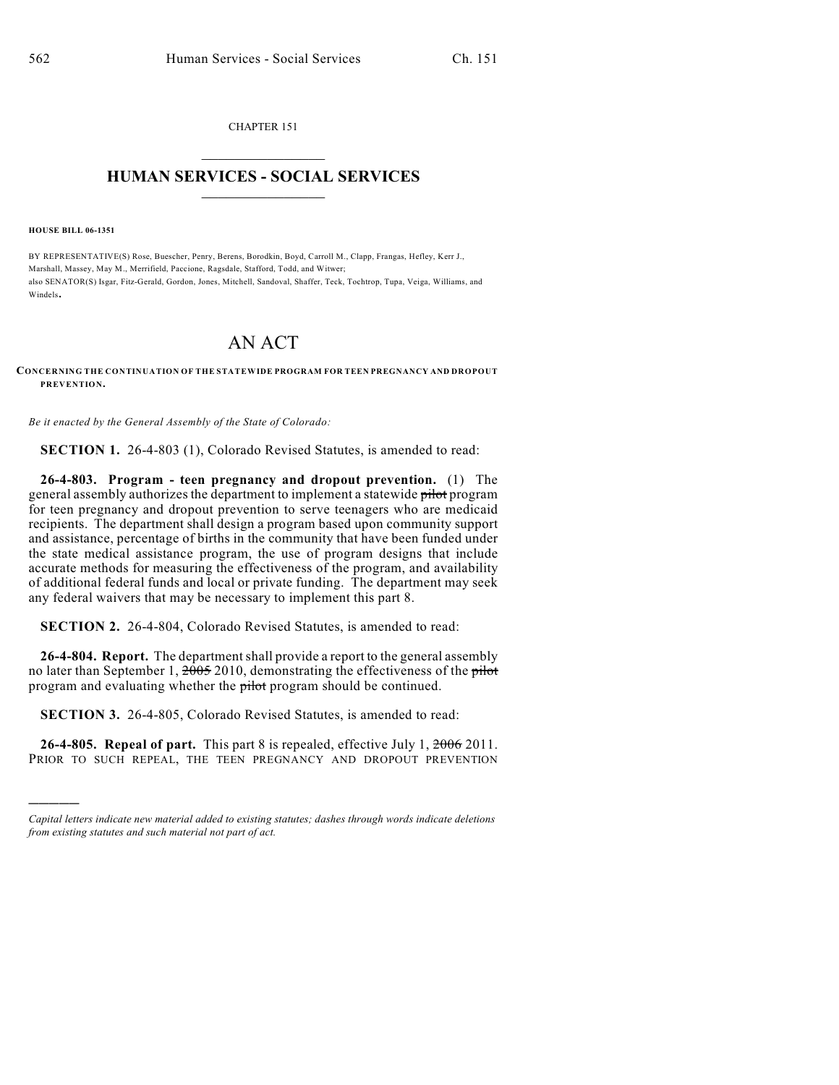CHAPTER 151  $\mathcal{L}_\text{max}$  . The set of the set of the set of the set of the set of the set of the set of the set of the set of the set of the set of the set of the set of the set of the set of the set of the set of the set of the set

## **HUMAN SERVICES - SOCIAL SERVICES**  $\frac{1}{2}$  ,  $\frac{1}{2}$  ,  $\frac{1}{2}$  ,  $\frac{1}{2}$  ,  $\frac{1}{2}$  ,  $\frac{1}{2}$  ,  $\frac{1}{2}$

**HOUSE BILL 06-1351**

)))))

BY REPRESENTATIVE(S) Rose, Buescher, Penry, Berens, Borodkin, Boyd, Carroll M., Clapp, Frangas, Hefley, Kerr J., Marshall, Massey, May M., Merrifield, Paccione, Ragsdale, Stafford, Todd, and Witwer; also SENATOR(S) Isgar, Fitz-Gerald, Gordon, Jones, Mitchell, Sandoval, Shaffer, Teck, Tochtrop, Tupa, Veiga, Williams, and Windels.

## AN ACT

## **CONCERNING THE CONTINUATION OF THE STATEWIDE PROGRAM FOR TEEN PREGNANCY AND DROPOUT PREVENTION.**

*Be it enacted by the General Assembly of the State of Colorado:*

**SECTION 1.** 26-4-803 (1), Colorado Revised Statutes, is amended to read:

**26-4-803. Program - teen pregnancy and dropout prevention.** (1) The general assembly authorizes the department to implement a statewide pilot program for teen pregnancy and dropout prevention to serve teenagers who are medicaid recipients. The department shall design a program based upon community support and assistance, percentage of births in the community that have been funded under the state medical assistance program, the use of program designs that include accurate methods for measuring the effectiveness of the program, and availability of additional federal funds and local or private funding. The department may seek any federal waivers that may be necessary to implement this part 8.

**SECTION 2.** 26-4-804, Colorado Revised Statutes, is amended to read:

**26-4-804. Report.** The department shall provide a report to the general assembly no later than September 1,  $\frac{2005}{2010}$ , demonstrating the effectiveness of the pilot program and evaluating whether the pilot program should be continued.

**SECTION 3.** 26-4-805, Colorado Revised Statutes, is amended to read:

**26-4-805. Repeal of part.** This part 8 is repealed, effective July 1, 2006 2011. PRIOR TO SUCH REPEAL, THE TEEN PREGNANCY AND DROPOUT PREVENTION

*Capital letters indicate new material added to existing statutes; dashes through words indicate deletions from existing statutes and such material not part of act.*